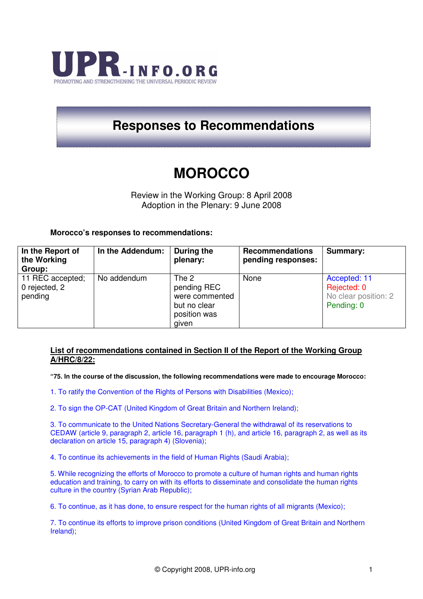

## **Responses to Recommendations**

# **MOROCCO**

Review in the Working Group: 8 April 2008 Adoption in the Plenary: 9 June 2008

### **Morocco's responses to recommendations:**

| In the Report of<br>the Working<br>Group:    | In the Addendum: | During the<br>plenary:                                                          | <b>Recommendations</b><br>pending responses: | Summary:                                                          |
|----------------------------------------------|------------------|---------------------------------------------------------------------------------|----------------------------------------------|-------------------------------------------------------------------|
| 11 REC accepted;<br>0 rejected, 2<br>pending | No addendum      | The 2<br>pending REC<br>were commented<br>but no clear<br>position was<br>given | None                                         | Accepted: 11<br>Rejected: 0<br>No clear position: 2<br>Pending: 0 |

### **List of recommendations contained in Section II of the Report of the Working Group A/HRC/8/22:**

**"75. In the course of the discussion, the following recommendations were made to encourage Morocco:** 

- 1. To ratify the Convention of the Rights of Persons with Disabilities (Mexico);
- 2. To sign the OP-CAT (United Kingdom of Great Britain and Northern Ireland);

3. To communicate to the United Nations Secretary-General the withdrawal of its reservations to CEDAW (article 9, paragraph 2, article 16, paragraph 1 (h), and article 16, paragraph 2, as well as its declaration on article 15, paragraph 4) (Slovenia);

4. To continue its achievements in the field of Human Rights (Saudi Arabia);

5. While recognizing the efforts of Morocco to promote a culture of human rights and human rights education and training, to carry on with its efforts to disseminate and consolidate the human rights culture in the country (Syrian Arab Republic);

6. To continue, as it has done, to ensure respect for the human rights of all migrants (Mexico);

7. To continue its efforts to improve prison conditions (United Kingdom of Great Britain and Northern Ireland);